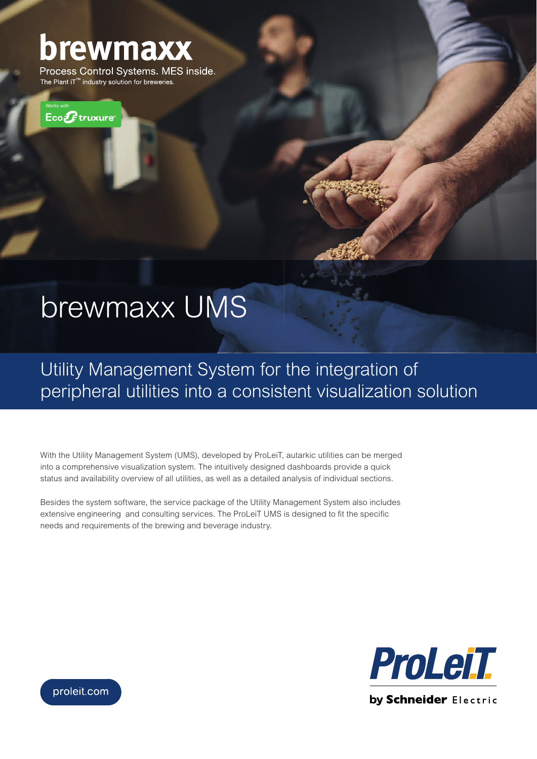# brewmaxx

Process Control Systems. MES inside. The Plant iT<sup>™</sup> industry solution for breweries.



## brewmaxx UMS

Utility Management System for the integration of peripheral utilities into a consistent visualization solution

With the Utility Management System (UMS), developed by ProLeiT, autarkic utilities can be merged into a comprehensive visualization system. The intuitively designed dashboards provide a quick status and availability overview of all utilities, as well as a detailed analysis of individual sections.

Besides the system software, the service package of the Utility Management System also includes extensive engineering and consulting services. The ProLeiT UMS is designed to fit the specific needs and requirements of the brewing and beverage industry.